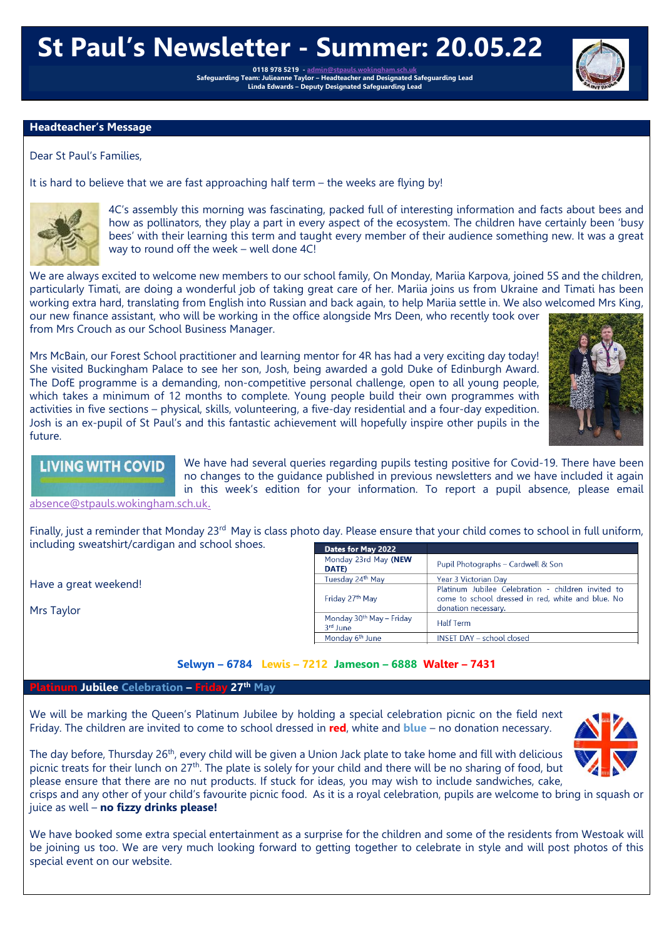# **St Paul's Newsletter - Summer: 20.05.22**

**0118 978 5219 - [admin@stpauls.wokingham.sch.uk](mailto:admin@stpauls.wokingham.sch.uk) Safeguarding Team: Julieanne Taylor – Headteacher and Designated Safeguarding Lead Linda Edwards – Deputy Designated Safeguarding Lead**

## **Headteacher's Message**

Dear St Paul's Families,

It is hard to believe that we are fast approaching half term – the weeks are flying by!



4C's assembly this morning was fascinating, packed full of interesting information and facts about bees and how as pollinators, they play a part in every aspect of the ecosystem. The children have certainly been 'busy bees' with their learning this term and taught every member of their audience something new. It was a great way to round off the week – well done 4C!

We are always excited to welcome new members to our school family, On Monday, Mariia Karpova, joined 5S and the children, particularly Timati, are doing a wonderful job of taking great care of her. Mariia joins us from Ukraine and Timati has been working extra hard, translating from English into Russian and back again, to help Mariia settle in. We also welcomed Mrs King, our new finance assistant, who will be working in the office alongside Mrs Deen, who recently took over from Mrs Crouch as our School Business Manager.

Mrs McBain, our Forest School practitioner and learning mentor for 4R has had a very exciting day today! She visited Buckingham Palace to see her son, Josh, being awarded a gold Duke of Edinburgh Award. The DofE programme is a demanding, non-competitive personal challenge, open to all young people, which takes a minimum of 12 months to complete. Young people build their own programmes with activities in five sections – physical, skills, volunteering, a five-day residential and a four-day expedition. Josh is an ex-pupil of St Paul's and this fantastic achievement will hopefully inspire other pupils in the future.



**LIVING WITH COVID** 

We have had several queries regarding pupils testing positive for Covid-19. There have been no changes to the guidance published in previous newsletters and we have included it again in this week's edition for your information. To report a pupil absence, please email

[absence@stpauls.wokingham.sch.uk](mailto:absence@stpauls.wokingham.sch.uk).

Finally, just a reminder that Monday 23<sup>rd</sup> May is class photo day. Please ensure that your child comes to school in full uniform, including sweatshirt/cardigan and school shoes.

Have a great weekend!

Mrs Taylor

| Dates for May 2022                               |                                                                                                                                |
|--------------------------------------------------|--------------------------------------------------------------------------------------------------------------------------------|
| Monday 23rd May (NEW<br>DATE)                    | Pupil Photographs - Cardwell & Son                                                                                             |
| Tuesday 24th May                                 | Year 3 Victorian Day                                                                                                           |
| Friday 27th May                                  | Platinum Jubilee Celebration - children invited to<br>come to school dressed in red, white and blue. No<br>donation necessary. |
| Monday 30 <sup>th</sup> May - Friday<br>3rd June | <b>Half Term</b>                                                                                                               |
| Monday 6 <sup>th</sup> June                      | <b>INSET DAY - school closed</b>                                                                                               |

# **Selwyn – 6784 Lewis – 7212 Jameson – 6888 Walter – 7431**

### **Platinum Jubilee Celebration – Friday 27th May**

We will be marking the Queen's Platinum Jubilee by holding a special celebration picnic on the field next Friday. The children are invited to come to school dressed in **red**, white and **blue** – no donation necessary.



The day before, Thursday 26<sup>th</sup>, every child will be given a Union Jack plate to take home and fill with delicious picnic treats for their lunch on 27<sup>th</sup>. The plate is solely for your child and there will be no sharing of food, but please ensure that there are no nut products. If stuck for ideas, you may wish to include sandwiches, cake,

crisps and any other of your child's favourite picnic food. As it is a royal celebration, pupils are welcome to bring in squash or juice as well – **no fizzy drinks please!**

We have booked some extra special entertainment as a surprise for the children and some of the residents from Westoak will be joining us too. We are very much looking forward to getting together to celebrate in style and will post photos of this special event on our website.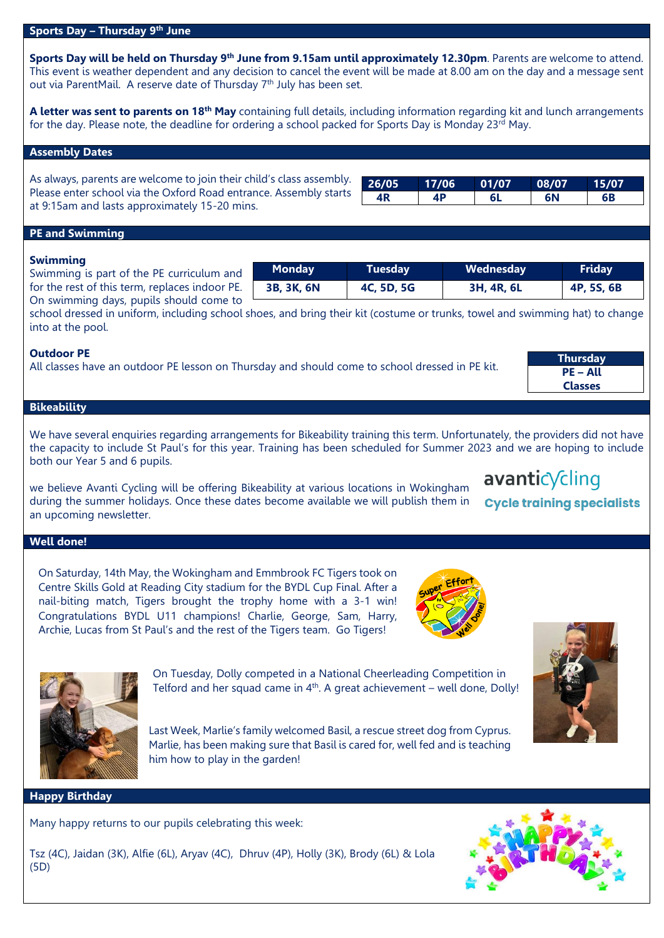### **Sports Day – Thursday 9 th June**

**Sports Day will be held on Thursday 9 th June from 9.15am until approximately 12.30pm**. Parents are welcome to attend. This event is weather dependent and any decision to cancel the event will be made at 8.00 am on the day and a message sent out via ParentMail. A reserve date of Thursday 7<sup>th</sup> July has been set.

**A letter was sent to parents on 18th May** containing full details, including information regarding kit and lunch arrangements for the day. Please note, the deadline for ordering a school packed for Sports Day is Monday 23rd May.

## **Assembly Dates**

As always, parents are welcome to join their child's class assembly. Please enter school via the Oxford Road entrance. Assembly starts at 9:15am and lasts approximately 15-20 mins.

| ٠ | 26/05 | 17/06 | 01/07 | 08/07 | 15/07 |  |
|---|-------|-------|-------|-------|-------|--|
|   | ۱D    | 1 D   |       | 6N    | 6Β    |  |

#### **PE and Swimming**

### **Swimming**

Swimming is part of the PE curriculum and for the rest of this term, replaces indoor PE. On swimming days, pupils should come to

**Monday Tuesday Wednesday Friday 3B, 3K, 6N 4C, 5D, 5G 3H, 4R, 6L 4P, 5S, 6B**

school dressed in uniform, including school shoes, and bring their kit (costume or trunks, towel and swimming hat) to change into at the pool.

### **Outdoor PE**

All classes have an outdoor PE lesson on Thursday and should come to school dressed in PE kit.

| Thursday        |
|-----------------|
| <b>PE – All</b> |
| <b>Classes</b>  |

# **Bikeability**

We have several enquiries regarding arrangements for Bikeability training this term. Unfortunately, the providers did not have the capacity to include St Paul's for this year. Training has been scheduled for Summer 2023 and we are hoping to include both our Year 5 and 6 pupils.

we believe Avanti Cycling will be offering Bikeability at various locations in Wokingham during the summer holidays. Once these dates become available we will publish them in an upcoming newsletter.

# **Well done!**

On Saturday, 14th May, the Wokingham and Emmbrook FC Tigers took on Centre Skills Gold at Reading City stadium for the BYDL Cup Final. After a nail-biting match, Tigers brought the trophy home with a 3-1 win! Congratulations BYDL U11 champions! Charlie, George, Sam, Harry, Archie, Lucas from St Paul's and the rest of the Tigers team. Go Tigers!







# **Happy Birthday**

Many happy returns to our pupils celebrating this week:<br>Rescuing Basil has given Marine to learn about care the opportunity to learn about care the opportunity of the o

Tsz (4C), Jaidan (3K), Alfie (6L), Aryav (4C), Dhruv (4P), Holly (3K), Brody (6L) & Lola (5D) others less fortunate and the importance of charity. Well done Marlie!

him how to play in the garden!



# avanticycling

**Cycle training specialists**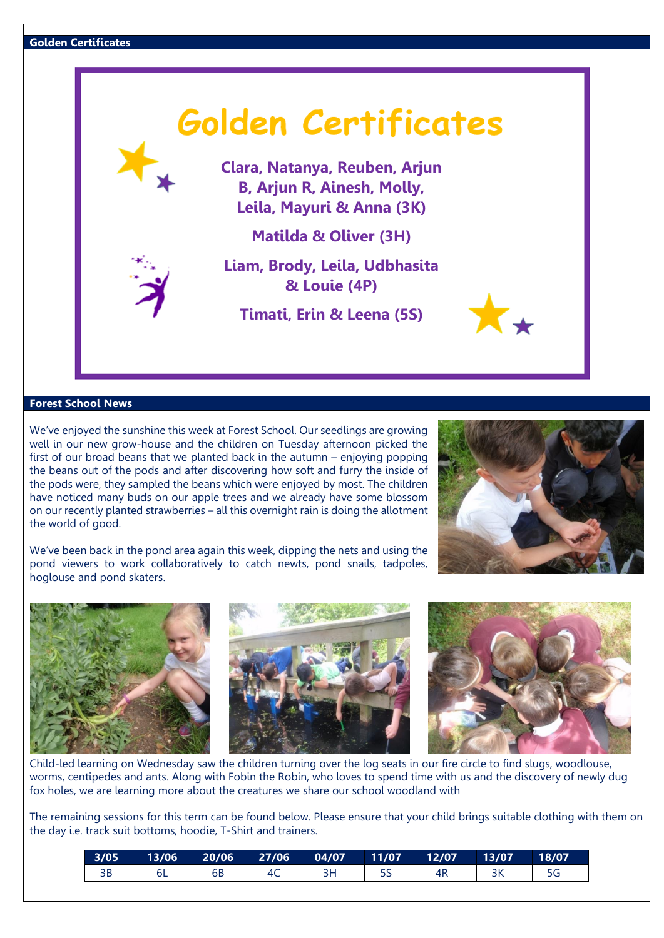

**Clara, Natanya, Reuben, Arjun B, Arjun R, Ainesh, Molly, Leila, Mayuri & Anna (3K)**

**Matilda & Oliver (3H)**

**Liam, Brody, Leila, Udbhasita & Louie (4P)**

**Timati, Erin & Leena (5S)**

# **Forest School News**

We've enjoyed the sunshine this week at Forest School. Our seedlings are growing well in our new grow-house and the children on Tuesday afternoon picked the first of our broad beans that we planted back in the autumn – enjoying popping the beans out of the pods and after discovering how soft and furry the inside of the pods were, they sampled the beans which were enjoyed by most. The children have noticed many buds on our apple trees and we already have some blossom on our recently planted strawberries – all this overnight rain is doing the allotment the world of good.

We've been back in the pond area again this week, dipping the nets and using the pond viewers to work collaboratively to catch newts, pond snails, tadpoles, hoglouse and pond skaters.





Child-led learning on Wednesday saw the children turning over the log seats in our fire circle to find slugs, woodlouse, worms, centipedes and ants. Along with Fobin the Robin, who loves to spend time with us and the discovery of newly dug fox holes, we are learning more about the creatures we share our school woodland with

The remaining sessions for this term can be found below. Please ensure that your child brings suitable clothing with them on the day i.e. track suit bottoms, hoodie, T-Shirt and trainers.

| 3/05 |    | $13/06$ 20/06 27/06 04/07 11/07 12/07 |     | 13/07 | 18/07 |
|------|----|---------------------------------------|-----|-------|-------|
|      | 6B |                                       | -5S |       |       |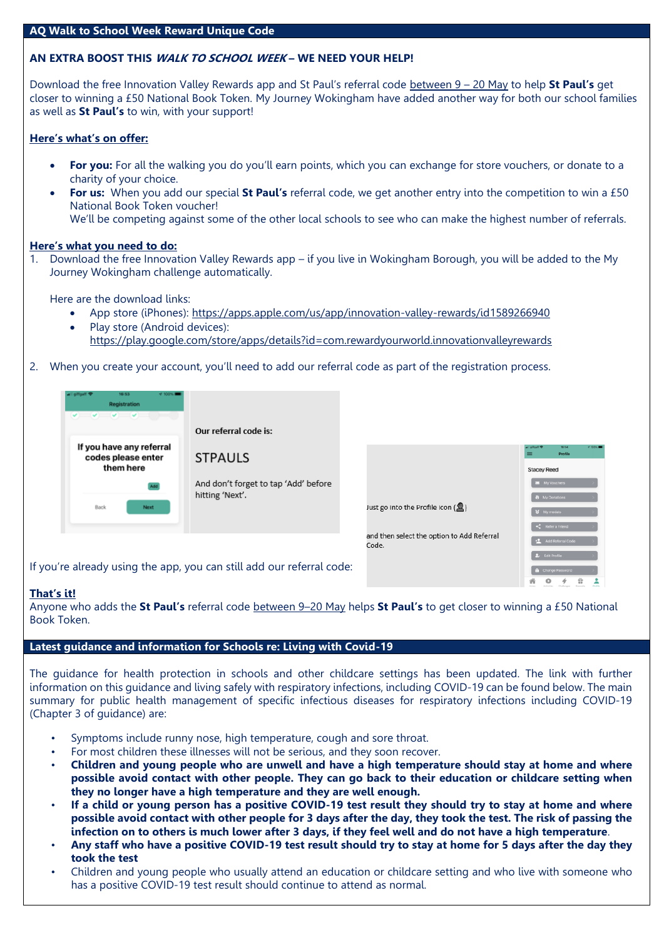# **AQ Walk to School Week Reward Unique Code**

# **AN EXTRA BOOST THIS WALK TO SCHOOL WEEK – WE NEED YOUR HELP!**

Download the free Innovation Valley Rewards app and St Paul's referral code between 9 – 20 May to help **St Paul's** get closer to winning a £50 National Book Token. My Journey Wokingham have added another way for both our school families as well as **St Paul's** to win, with your support!

# **Here's what's on offer:**

- **For you:** For all the walking you do you'll earn points, which you can exchange for store vouchers, or donate to a charity of your choice.
- For us: When you add our special St Paul's referral code, we get another entry into the competition to win a £50 National Book Token voucher! We'll be competing against some of the other local schools to see who can make the highest number of referrals.

### **Here's what you need to do:**

1. Download the free Innovation Valley Rewards app – if you live in Wokingham Borough, you will be added to the My Journey Wokingham challenge automatically.

Here are the download links:

- App store (iPhones):<https://apps.apple.com/us/app/innovation-valley-rewards/id1589266940>
- Play store (Android devices): <https://play.google.com/store/apps/details?id=com.rewardyourworld.innovationvalleyrewards>
- 2. When you create your account, you'll need to add our referral code as part of the registration process.

| 16:53<br>oiffgaff <sup>1</sup><br>Registration              |                                      |
|-------------------------------------------------------------|--------------------------------------|
|                                                             | Our referral code is:                |
| If you have any referral<br>codes please enter<br>them here | <b>STPAULS</b>                       |
|                                                             | And don't forget to tap 'Add' before |
| Back<br>Next                                                | hitting 'Next'.                      |
|                                                             |                                      |

|                                                          | 16/54<br><b>VE SOEAL!</b><br><b>Giffizett</b><br>Profile |
|----------------------------------------------------------|----------------------------------------------------------|
|                                                          | <b>Stacey Reed</b>                                       |
|                                                          | My Vouchers                                              |
|                                                          | <b>&amp;</b> My Donations                                |
| Just go into the Profile icon $\left(\frac{1}{2}\right)$ | 8 My medals                                              |
| and then select the option to Add Referral               | Refer a Friend                                           |
| Code.                                                    | Add Referral Code                                        |
|                                                          | 2. Edit Profile                                          |
|                                                          | <b>&amp;</b> Change Password<br>ŵ                        |

If you're already using the app, you can still add our referral code:

### **That's it!**

Anyone who adds the **St Paul's** referral code between 9–20 May helps **St Paul's** to get closer to winning a £50 National Book Token.

# **Latest guidance and information for Schools re: Living with Covid-19**

The guidance for health protection in schools and other childcare settings has been updated. The link with further information on this guidance and living safely with respiratory infections, including COVID-19 can be found below. The main summary for public health management of specific infectious diseases for respiratory infections including COVID-19 (Chapter 3 of guidance) are:

- Symptoms include runny nose, high temperature, cough and sore throat.
- For most children these illnesses will not be serious, and they soon recover.
- Children and young people who are unwell and have a high temperature should stay at home and where **possible avoid contact with other people. They can go back to their education or childcare setting when they no longer have a high temperature and they are well enough.**
- If a child or young person has a positive COVID-19 test result they should try to stay at home and where possible avoid contact with other people for 3 days after the day, they took the test. The risk of passing the infection on to others is much lower after 3 days, if they feel well and do not have a high temperature.
- Any staff who have a positive COVID-19 test result should try to stay at home for 5 days after the day they **took the test**
- Children and young people who usually attend an education or childcare setting and who live with someone who has a positive COVID-19 test result should continue to attend as normal.